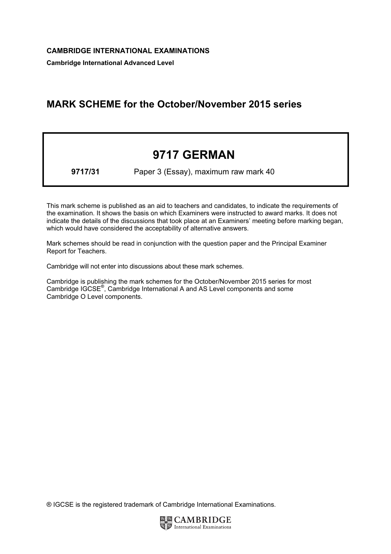Cambridge International Advanced Level

## MARK SCHEME for the October/November 2015 series

## 9717 GERMAN

9717/31 Paper 3 (Essay), maximum raw mark 40

This mark scheme is published as an aid to teachers and candidates, to indicate the requirements of the examination. It shows the basis on which Examiners were instructed to award marks. It does not indicate the details of the discussions that took place at an Examiners' meeting before marking began, which would have considered the acceptability of alternative answers.

Mark schemes should be read in conjunction with the question paper and the Principal Examiner Report for Teachers.

Cambridge will not enter into discussions about these mark schemes.

Cambridge is publishing the mark schemes for the October/November 2015 series for most Cambridge IGCSE*®* , Cambridge International A and AS Level components and some Cambridge O Level components.

® IGCSE is the registered trademark of Cambridge International Examinations.